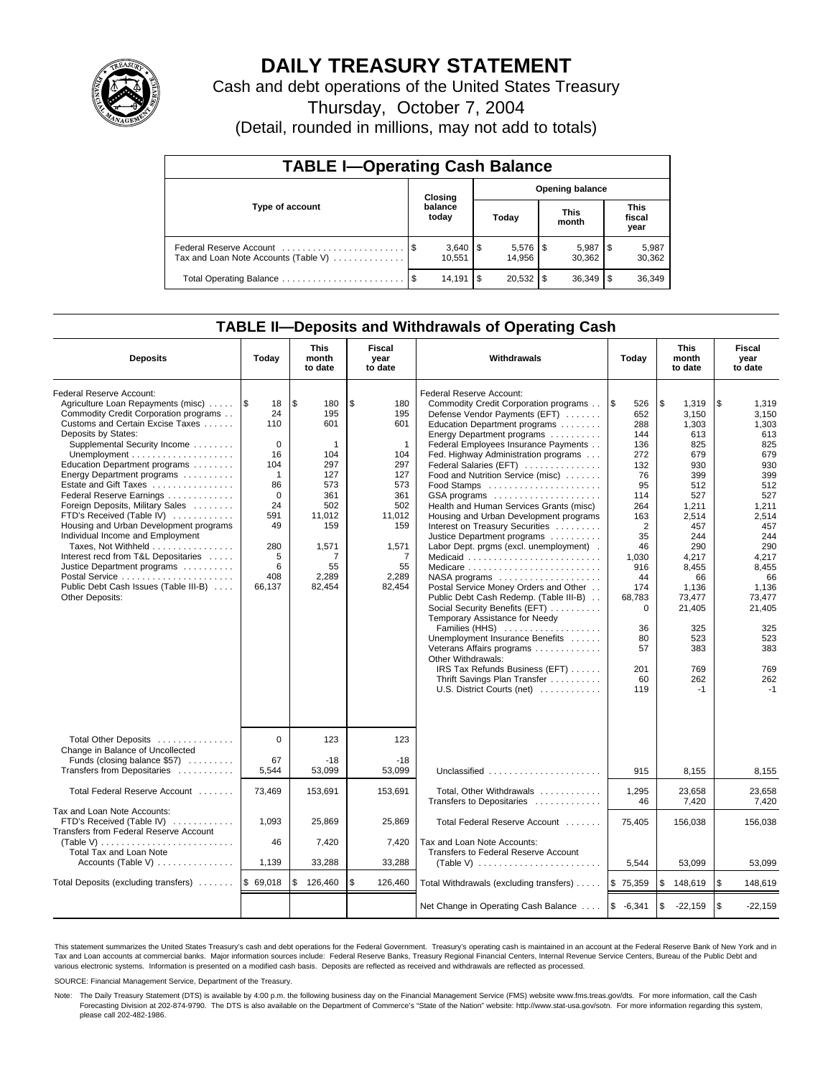

# **DAILY TREASURY STATEMENT**

Cash and debt operations of the United States Treasury

Thursday, October 7, 2004

(Detail, rounded in millions, may not add to totals)

| <b>TABLE I-Operating Cash Balance</b>                           |      |                  |    |        |  |                        |                               |                 |  |  |
|-----------------------------------------------------------------|------|------------------|----|--------|--|------------------------|-------------------------------|-----------------|--|--|
|                                                                 |      | Closing          |    |        |  | <b>Opening balance</b> |                               |                 |  |  |
| Type of account                                                 |      | balance<br>today |    | Today  |  | <b>This</b><br>month   | <b>This</b><br>fiscal<br>year |                 |  |  |
| Federal Reserve Account<br>Tax and Loan Note Accounts (Table V) |      | 10.551           |    | 14.956 |  | 5,987<br>30.362        |                               | 5,987<br>30,362 |  |  |
| Total Operating Balance                                         | - \$ | 14.191           | \$ |        |  | 36.349                 |                               | 36,349          |  |  |

## **TABLE II—Deposits and Withdrawals of Operating Cash**

| <b>Deposits</b>                                                                                                                                                                                                                                                                                                                                                                                                                                                                                                                                                                                                                                                                      | Today                                                                                                                                     | <b>This</b><br>month<br>to date                                                                                                           | Fiscal<br>year<br>to date                                                                                                                 | <b>Withdrawals</b>                                                                                                                                                                                                                                                                                                                                                                                                                                                                                                                                                                                                                                                                                                                                                                                                                                                                                                                                                                   | Today                                                                                                                                                                                                                | <b>This</b><br>month<br>to date                                                                                                                                                                                       | Fiscal<br>year<br>to date                                                                                                                                                                                             |
|--------------------------------------------------------------------------------------------------------------------------------------------------------------------------------------------------------------------------------------------------------------------------------------------------------------------------------------------------------------------------------------------------------------------------------------------------------------------------------------------------------------------------------------------------------------------------------------------------------------------------------------------------------------------------------------|-------------------------------------------------------------------------------------------------------------------------------------------|-------------------------------------------------------------------------------------------------------------------------------------------|-------------------------------------------------------------------------------------------------------------------------------------------|--------------------------------------------------------------------------------------------------------------------------------------------------------------------------------------------------------------------------------------------------------------------------------------------------------------------------------------------------------------------------------------------------------------------------------------------------------------------------------------------------------------------------------------------------------------------------------------------------------------------------------------------------------------------------------------------------------------------------------------------------------------------------------------------------------------------------------------------------------------------------------------------------------------------------------------------------------------------------------------|----------------------------------------------------------------------------------------------------------------------------------------------------------------------------------------------------------------------|-----------------------------------------------------------------------------------------------------------------------------------------------------------------------------------------------------------------------|-----------------------------------------------------------------------------------------------------------------------------------------------------------------------------------------------------------------------|
| Federal Reserve Account:<br>Agriculture Loan Repayments (misc)<br>Commodity Credit Corporation programs<br>Customs and Certain Excise Taxes<br>Deposits by States:<br>Supplemental Security Income<br>Unemployment $\dots\dots\dots\dots\dots\dots\dots$<br>Education Department programs<br>Energy Department programs<br>Estate and Gift Taxes<br>Federal Reserve Earnings<br>Foreign Deposits, Military Sales<br>FTD's Received (Table IV)<br>Housing and Urban Development programs<br>Individual Income and Employment<br>Taxes, Not Withheld<br>Interest recd from T&L Depositaries<br>Justice Department programs<br>Public Debt Cash Issues (Table III-B)<br>Other Deposits: | 1\$<br>18<br>24<br>110<br>$\mathbf 0$<br>16<br>104<br>$\mathbf{1}$<br>86<br>$\Omega$<br>24<br>591<br>49<br>280<br>5<br>6<br>408<br>66,137 | \$<br>180<br>195<br>601<br>$\mathbf{1}$<br>104<br>297<br>127<br>573<br>361<br>502<br>11,012<br>159<br>1,571<br>7<br>55<br>2,289<br>82,454 | \$<br>180<br>195<br>601<br>$\mathbf{1}$<br>104<br>297<br>127<br>573<br>361<br>502<br>11,012<br>159<br>1,571<br>7<br>55<br>2,289<br>82,454 | Federal Reserve Account:<br>Commodity Credit Corporation programs<br>Defense Vendor Payments (EFT)<br>Education Department programs<br>Energy Department programs<br>Federal Employees Insurance Payments<br>Fed. Highway Administration programs<br>Federal Salaries (EFT)<br>Food and Nutrition Service (misc)<br>Food Stamps<br>GSA programs<br>Health and Human Services Grants (misc)<br>Housing and Urban Development programs<br>Interest on Treasury Securities<br>Justice Department programs<br>Labor Dept. prgms (excl. unemployment).<br>Medicare<br>$NASA$ programs $\ldots \ldots \ldots \ldots \ldots$<br>Postal Service Money Orders and Other<br>Public Debt Cash Redemp. (Table III-B)<br>Social Security Benefits (EFT)<br>Temporary Assistance for Needy<br>Families (HHS)<br>Unemployment Insurance Benefits<br>Veterans Affairs programs<br>Other Withdrawals:<br>IRS Tax Refunds Business (EFT)<br>Thrift Savings Plan Transfer<br>U.S. District Courts (net) | <b>S</b><br>526<br>652<br>288<br>144<br>136<br>272<br>132<br>76<br>95<br>114<br>264<br>163<br>$\overline{2}$<br>35<br>46<br>1,030<br>916<br>44<br>174<br>68,783<br>$\mathbf 0$<br>36<br>80<br>57<br>201<br>60<br>119 | \$<br>1,319<br>3.150<br>1,303<br>613<br>825<br>679<br>930<br>399<br>512<br>527<br>1,211<br>2.514<br>457<br>244<br>290<br>4,217<br>8,455<br>66<br>1,136<br>73,477<br>21,405<br>325<br>523<br>383<br>769<br>262<br>$-1$ | \$<br>1,319<br>3.150<br>1,303<br>613<br>825<br>679<br>930<br>399<br>512<br>527<br>1,211<br>2,514<br>457<br>244<br>290<br>4,217<br>8,455<br>66<br>1.136<br>73,477<br>21,405<br>325<br>523<br>383<br>769<br>262<br>$-1$ |
| Total Other Deposits<br>Change in Balance of Uncollected<br>Funds (closing balance \$57)<br>Transfers from Depositaries                                                                                                                                                                                                                                                                                                                                                                                                                                                                                                                                                              | $\Omega$<br>67<br>5.544                                                                                                                   | 123<br>$-18$<br>53,099                                                                                                                    | 123<br>$-18$<br>53.099                                                                                                                    | Unclassified                                                                                                                                                                                                                                                                                                                                                                                                                                                                                                                                                                                                                                                                                                                                                                                                                                                                                                                                                                         | 915                                                                                                                                                                                                                  | 8.155                                                                                                                                                                                                                 | 8.155                                                                                                                                                                                                                 |
| Total Federal Reserve Account                                                                                                                                                                                                                                                                                                                                                                                                                                                                                                                                                                                                                                                        | 73,469                                                                                                                                    | 153,691                                                                                                                                   | 153,691                                                                                                                                   | Total, Other Withdrawals<br>Transfers to Depositaries                                                                                                                                                                                                                                                                                                                                                                                                                                                                                                                                                                                                                                                                                                                                                                                                                                                                                                                                | 1,295<br>46                                                                                                                                                                                                          | 23,658<br>7,420                                                                                                                                                                                                       | 23,658<br>7,420                                                                                                                                                                                                       |
| Tax and Loan Note Accounts:<br>FTD's Received (Table IV)<br>Transfers from Federal Reserve Account<br>(Table V)<br><b>Total Tax and Loan Note</b><br>Accounts (Table V)                                                                                                                                                                                                                                                                                                                                                                                                                                                                                                              | 1,093<br>46<br>1,139                                                                                                                      | 25,869<br>7,420<br>33,288                                                                                                                 | 25,869<br>7,420<br>33,288                                                                                                                 | Total Federal Reserve Account<br>Tax and Loan Note Accounts:<br>Transfers to Federal Reserve Account<br>(Table V) $\ldots \ldots \ldots \ldots \ldots \ldots \ldots$                                                                                                                                                                                                                                                                                                                                                                                                                                                                                                                                                                                                                                                                                                                                                                                                                 | 75,405<br>5,544                                                                                                                                                                                                      | 156,038<br>53,099                                                                                                                                                                                                     | 156,038<br>53,099                                                                                                                                                                                                     |
| Total Deposits (excluding transfers)                                                                                                                                                                                                                                                                                                                                                                                                                                                                                                                                                                                                                                                 | \$69,018                                                                                                                                  | 126,460<br>\$                                                                                                                             | \$<br>126,460                                                                                                                             | Total Withdrawals (excluding transfers)                                                                                                                                                                                                                                                                                                                                                                                                                                                                                                                                                                                                                                                                                                                                                                                                                                                                                                                                              | \$75,359                                                                                                                                                                                                             | \$<br>148,619                                                                                                                                                                                                         | <b>S</b><br>148,619                                                                                                                                                                                                   |
|                                                                                                                                                                                                                                                                                                                                                                                                                                                                                                                                                                                                                                                                                      |                                                                                                                                           |                                                                                                                                           |                                                                                                                                           | Net Change in Operating Cash Balance                                                                                                                                                                                                                                                                                                                                                                                                                                                                                                                                                                                                                                                                                                                                                                                                                                                                                                                                                 | $$ -6,341$                                                                                                                                                                                                           | \$<br>$-22,159$                                                                                                                                                                                                       | l \$<br>$-22,159$                                                                                                                                                                                                     |

This statement summarizes the United States Treasury's cash and debt operations for the Federal Government. Treasury's operating cash is maintained in an account at the Federal Reserve Bank of New York and in Tax and Loan accounts at commercial banks. Major information sources include: Federal Reserve Banks, Treasury Regional Financial Centers, Internal Revenue Service Centers, Bureau of the Public Debt and<br>various electronic s

SOURCE: Financial Management Service, Department of the Treasury.

Note: The Daily Treasury Statement (DTS) is available by 4:00 p.m. the following business day on the Financial Management Service (FMS) website www.fms.treas.gov/dts. For more information, call the Cash Forecasting Division at 202-874-9790. The DTS is also available on the Department of Commerce's "State of the Nation" website: http://www.stat-usa.gov/sotn. For more information regarding this system, please call 202-482-1986.